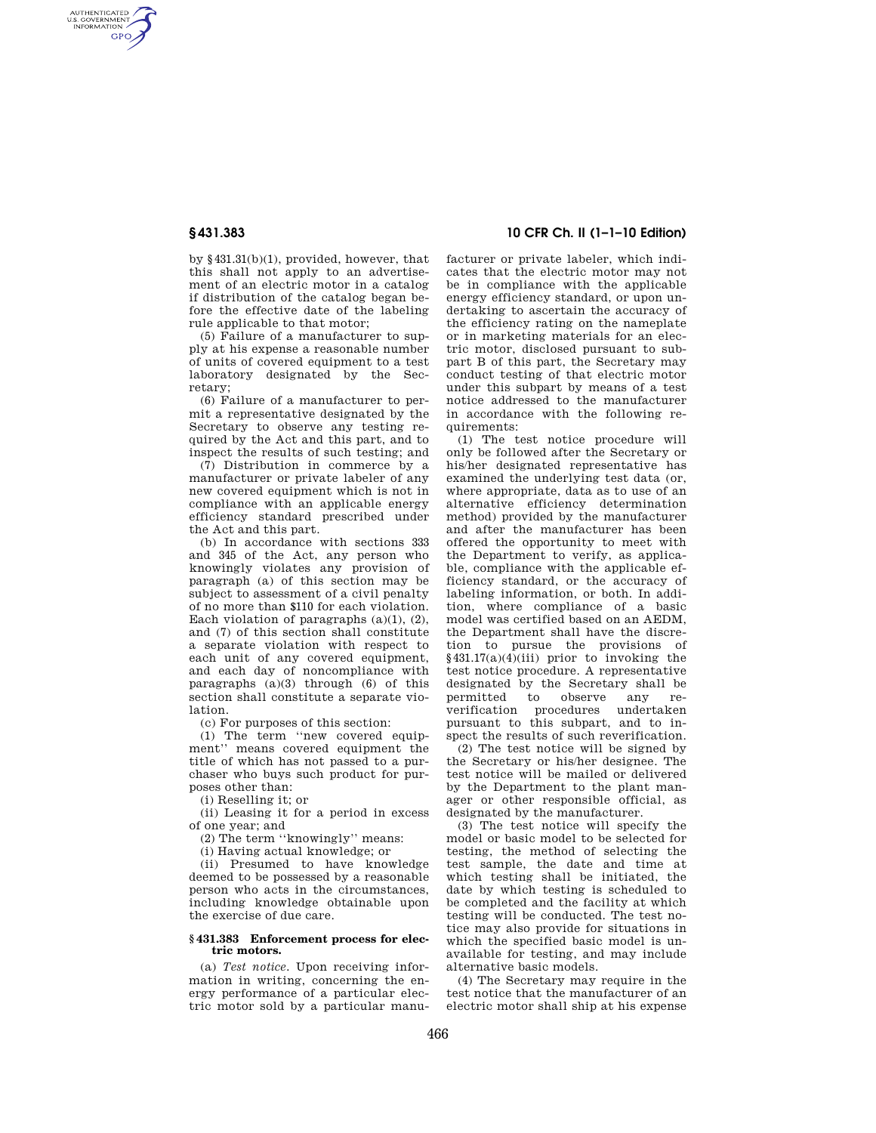AUTHENTICATED<br>U.S. GOVERNMENT<br>INFORMATION **GPO** 

> by §431.31(b)(1), provided, however, that this shall not apply to an advertisement of an electric motor in a catalog if distribution of the catalog began before the effective date of the labeling rule applicable to that motor;

> (5) Failure of a manufacturer to supply at his expense a reasonable number of units of covered equipment to a test laboratory designated by the Secretary;

> (6) Failure of a manufacturer to permit a representative designated by the Secretary to observe any testing required by the Act and this part, and to inspect the results of such testing; and

> (7) Distribution in commerce by a manufacturer or private labeler of any new covered equipment which is not in compliance with an applicable energy efficiency standard prescribed under the Act and this part.

> (b) In accordance with sections 333 and 345 of the Act, any person who knowingly violates any provision of paragraph (a) of this section may be subject to assessment of a civil penalty of no more than \$110 for each violation. Each violation of paragraphs  $(a)(1)$ ,  $(2)$ , and (7) of this section shall constitute a separate violation with respect to each unit of any covered equipment, and each day of noncompliance with paragraphs  $(a)(3)$  through  $(6)$  of this section shall constitute a separate violation.

(c) For purposes of this section:

(1) The term ''new covered equipment'' means covered equipment the title of which has not passed to a purchaser who buys such product for purposes other than:

(i) Reselling it; or

(ii) Leasing it for a period in excess of one year; and

(2) The term ''knowingly'' means:

(i) Having actual knowledge; or

(ii) Presumed to have knowledge deemed to be possessed by a reasonable person who acts in the circumstances, including knowledge obtainable upon the exercise of due care.

#### **§ 431.383 Enforcement process for electric motors.**

(a) *Test notice.* Upon receiving information in writing, concerning the energy performance of a particular electric motor sold by a particular manu-

# **§ 431.383 10 CFR Ch. II (1–1–10 Edition)**

facturer or private labeler, which indicates that the electric motor may not be in compliance with the applicable energy efficiency standard, or upon undertaking to ascertain the accuracy of the efficiency rating on the nameplate or in marketing materials for an electric motor, disclosed pursuant to subpart B of this part, the Secretary may conduct testing of that electric motor under this subpart by means of a test notice addressed to the manufacturer in accordance with the following requirements:

(1) The test notice procedure will only be followed after the Secretary or his/her designated representative has examined the underlying test data (or, where appropriate, data as to use of an alternative efficiency determination method) provided by the manufacturer and after the manufacturer has been offered the opportunity to meet with the Department to verify, as applicable, compliance with the applicable efficiency standard, or the accuracy of labeling information, or both. In addition, where compliance of a basic model was certified based on an AEDM, the Department shall have the discretion to pursue the provisions of  $§431.17(a)(4)(iii)$  prior to invoking the test notice procedure. A representative designated by the Secretary shall be permitted to observe any reverification procedures undertaken pursuant to this subpart, and to inspect the results of such reverification.

(2) The test notice will be signed by the Secretary or his/her designee. The test notice will be mailed or delivered by the Department to the plant manager or other responsible official, as designated by the manufacturer.

(3) The test notice will specify the model or basic model to be selected for testing, the method of selecting the test sample, the date and time at which testing shall be initiated, the date by which testing is scheduled to be completed and the facility at which testing will be conducted. The test notice may also provide for situations in which the specified basic model is unavailable for testing, and may include alternative basic models.

(4) The Secretary may require in the test notice that the manufacturer of an electric motor shall ship at his expense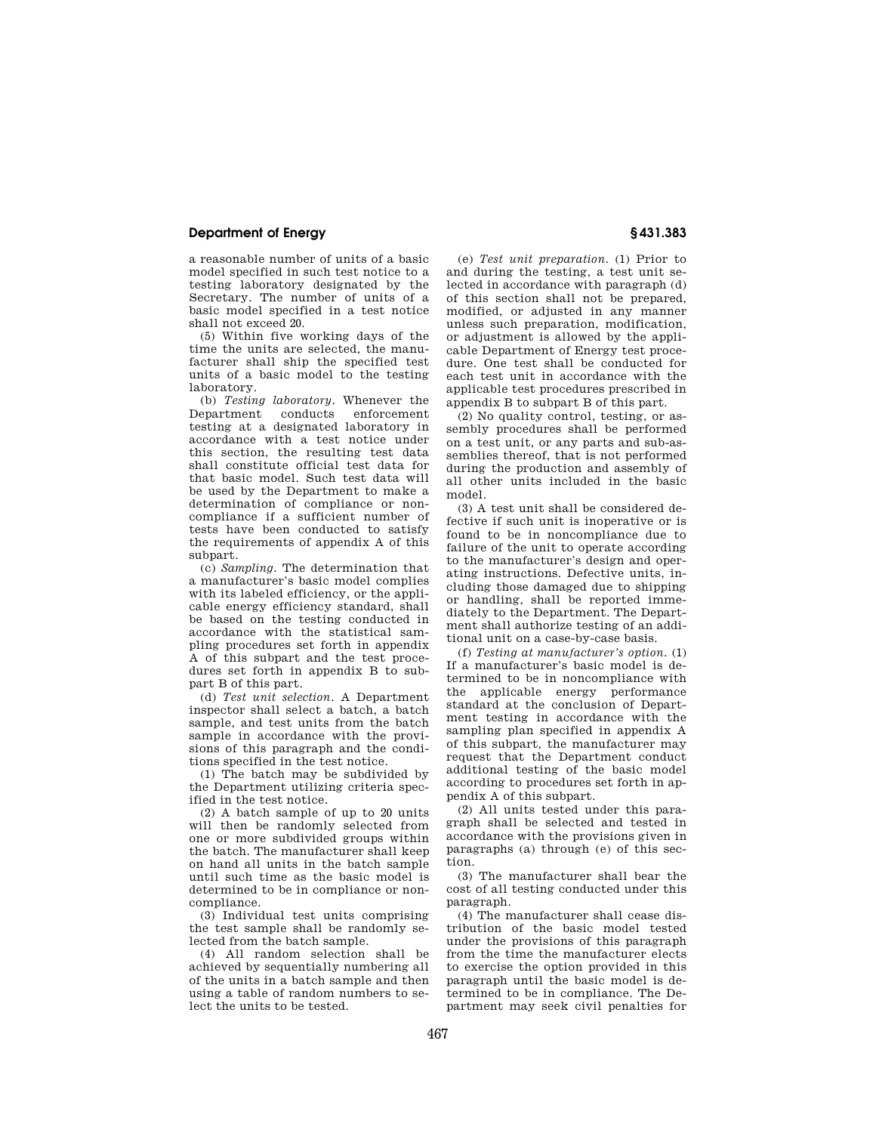### **Department of Energy § 431.383**

a reasonable number of units of a basic model specified in such test notice to a testing laboratory designated by the Secretary. The number of units of a basic model specified in a test notice shall not exceed 20.

(5) Within five working days of the time the units are selected, the manufacturer shall ship the specified test units of a basic model to the testing laboratory.

(b) *Testing laboratory.* Whenever the Department conducts enforcement testing at a designated laboratory in accordance with a test notice under this section, the resulting test data shall constitute official test data for that basic model. Such test data will be used by the Department to make a determination of compliance or noncompliance if a sufficient number of tests have been conducted to satisfy the requirements of appendix A of this subpart.

(c) *Sampling.* The determination that a manufacturer's basic model complies with its labeled efficiency, or the applicable energy efficiency standard, shall be based on the testing conducted in accordance with the statistical sampling procedures set forth in appendix A of this subpart and the test procedures set forth in appendix B to subpart B of this part.

(d) *Test unit selection.* A Department inspector shall select a batch, a batch sample, and test units from the batch sample in accordance with the provisions of this paragraph and the conditions specified in the test notice.

(1) The batch may be subdivided by the Department utilizing criteria specified in the test notice.

(2) A batch sample of up to 20 units will then be randomly selected from one or more subdivided groups within the batch. The manufacturer shall keep on hand all units in the batch sample until such time as the basic model is determined to be in compliance or noncompliance.

(3) Individual test units comprising the test sample shall be randomly selected from the batch sample.

(4) All random selection shall be achieved by sequentially numbering all of the units in a batch sample and then using a table of random numbers to select the units to be tested.

(e) *Test unit preparation.* (1) Prior to and during the testing, a test unit selected in accordance with paragraph (d) of this section shall not be prepared, modified, or adjusted in any manner unless such preparation, modification, or adjustment is allowed by the applicable Department of Energy test procedure. One test shall be conducted for each test unit in accordance with the applicable test procedures prescribed in appendix B to subpart B of this part.

(2) No quality control, testing, or assembly procedures shall be performed on a test unit, or any parts and sub-assemblies thereof, that is not performed during the production and assembly of all other units included in the basic model.

(3) A test unit shall be considered defective if such unit is inoperative or is found to be in noncompliance due to failure of the unit to operate according to the manufacturer's design and operating instructions. Defective units, including those damaged due to shipping or handling, shall be reported immediately to the Department. The Department shall authorize testing of an additional unit on a case-by-case basis.

(f) *Testing at manufacturer's option.* (1) If a manufacturer's basic model is determined to be in noncompliance with the applicable energy performance standard at the conclusion of Department testing in accordance with the sampling plan specified in appendix A of this subpart, the manufacturer may request that the Department conduct additional testing of the basic model according to procedures set forth in appendix A of this subpart.

(2) All units tested under this paragraph shall be selected and tested in accordance with the provisions given in paragraphs (a) through (e) of this section.

(3) The manufacturer shall bear the cost of all testing conducted under this paragraph.

(4) The manufacturer shall cease distribution of the basic model tested under the provisions of this paragraph from the time the manufacturer elects to exercise the option provided in this paragraph until the basic model is determined to be in compliance. The Department may seek civil penalties for